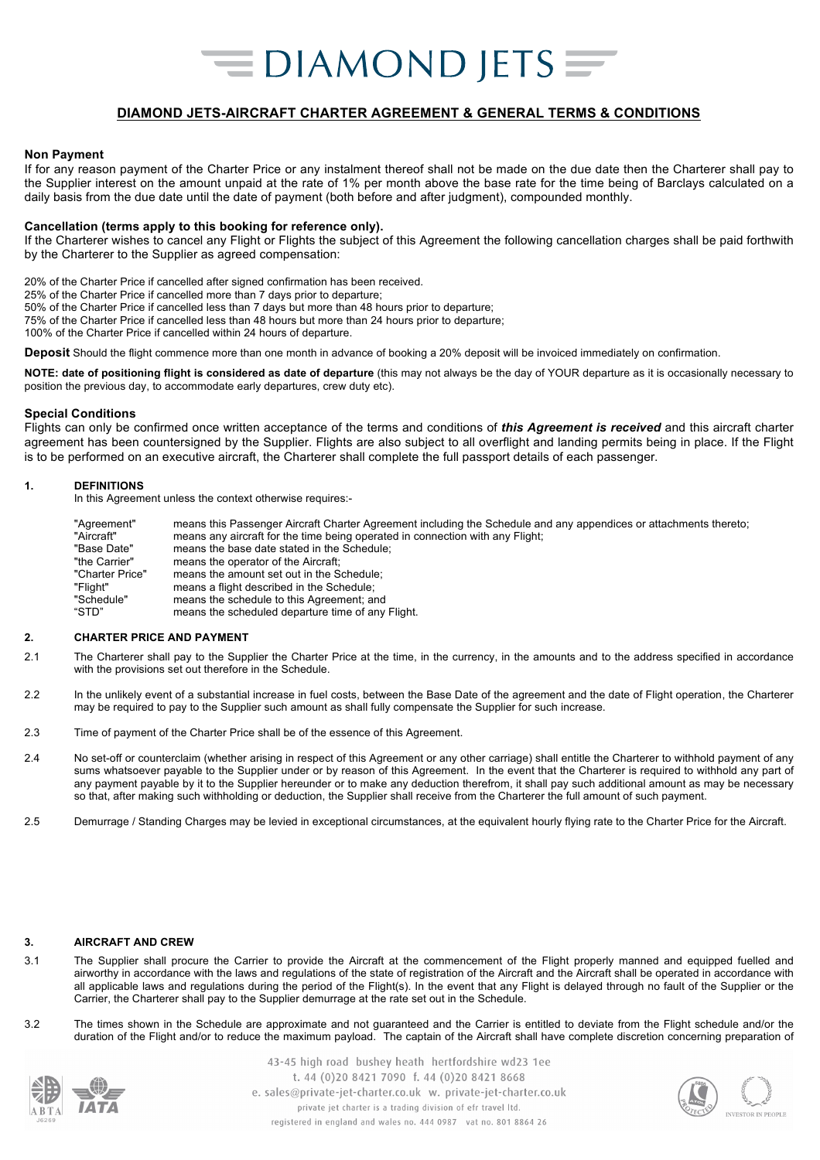### **DIAMOND JETS-AIRCRAFT CHARTER AGREEMENT & GENERAL TERMS & CONDITIONS**

#### **Non Payment**

If for any reason payment of the Charter Price or any instalment thereof shall not be made on the due date then the Charterer shall pay to the Supplier interest on the amount unpaid at the rate of 1% per month above the base rate for the time being of Barclays calculated on a daily basis from the due date until the date of payment (both before and after judgment), compounded monthly.

#### **Cancellation (terms apply to this booking for reference only).**

If the Charterer wishes to cancel any Flight or Flights the subject of this Agreement the following cancellation charges shall be paid forthwith by the Charterer to the Supplier as agreed compensation:

20% of the Charter Price if cancelled after signed confirmation has been received.

25% of the Charter Price if cancelled more than 7 days prior to departure;

50% of the Charter Price if cancelled less than 7 days but more than 48 hours prior to departure; 75% of the Charter Price if cancelled less than 48 hours but more than 24 hours prior to departure;

100% of the Charter Price if cancelled within 24 hours of departure.

**Deposit** Should the flight commence more than one month in advance of booking a 20% deposit will be invoiced immediately on confirmation.

**NOTE: date of positioning flight is considered as date of departure** (this may not always be the day of YOUR departure as it is occasionally necessary to position the previous day, to accommodate early departures, crew duty etc).

#### **Special Conditions**

Flights can only be confirmed once written acceptance of the terms and conditions of *this Agreement is received* and this aircraft charter agreement has been countersigned by the Supplier. Flights are also subject to all overflight and landing permits being in place. If the Flight is to be performed on an executive aircraft, the Charterer shall complete the full passport details of each passenger.

#### **1. DEFINITIONS**

In this Agreement unless the context otherwise requires:-

| "Agreement"     | means this Passenger Aircraft Charter Agreement including the Schedule and any appendices or attachments thereto; |
|-----------------|-------------------------------------------------------------------------------------------------------------------|
| "Aircraft"      | means any aircraft for the time being operated in connection with any Flight;                                     |
| "Base Date"     | means the base date stated in the Schedule;                                                                       |
| "the Carrier"   | means the operator of the Aircraft:                                                                               |
| "Charter Price" | means the amount set out in the Schedule;                                                                         |
| "Flight"        | means a flight described in the Schedule:                                                                         |
| "Schedule"      | means the schedule to this Agreement; and                                                                         |
| "STD"           | means the scheduled departure time of any Flight.                                                                 |

#### **2. CHARTER PRICE AND PAYMENT**

- 2.1 The Charterer shall pay to the Supplier the Charter Price at the time, in the currency, in the amounts and to the address specified in accordance with the provisions set out therefore in the Schedule.
- 2.2 In the unlikely event of a substantial increase in fuel costs, between the Base Date of the agreement and the date of Flight operation, the Charterer may be required to pay to the Supplier such amount as shall fully compensate the Supplier for such increase.
- 2.3 Time of payment of the Charter Price shall be of the essence of this Agreement.
- 2.4 No set-off or counterclaim (whether arising in respect of this Agreement or any other carriage) shall entitle the Charterer to withhold payment of any sums whatsoever payable to the Supplier under or by reason of this Agreement. In the event that the Charterer is required to withhold any part of any payment payable by it to the Supplier hereunder or to make any deduction therefrom, it shall pay such additional amount as may be necessary so that, after making such withholding or deduction, the Supplier shall receive from the Charterer the full amount of such payment.
- 2.5 Demurrage / Standing Charges may be levied in exceptional circumstances, at the equivalent hourly flying rate to the Charter Price for the Aircraft.

### **3. AIRCRAFT AND CREW**

- 3.1 The Supplier shall procure the Carrier to provide the Aircraft at the commencement of the Flight properly manned and equipped fuelled and airworthy in accordance with the laws and regulations of the state of registration of the Aircraft and the Aircraft shall be operated in accordance with all applicable laws and regulations during the period of the Flight(s). In the event that any Flight is delayed through no fault of the Supplier or the Carrier, the Charterer shall pay to the Supplier demurrage at the rate set out in the Schedule.
- 3.2 The times shown in the Schedule are approximate and not guaranteed and the Carrier is entitled to deviate from the Flight schedule and/or the duration of the Flight and/or to reduce the maximum payload. The captain of the Aircraft shall have complete discretion concerning preparation of



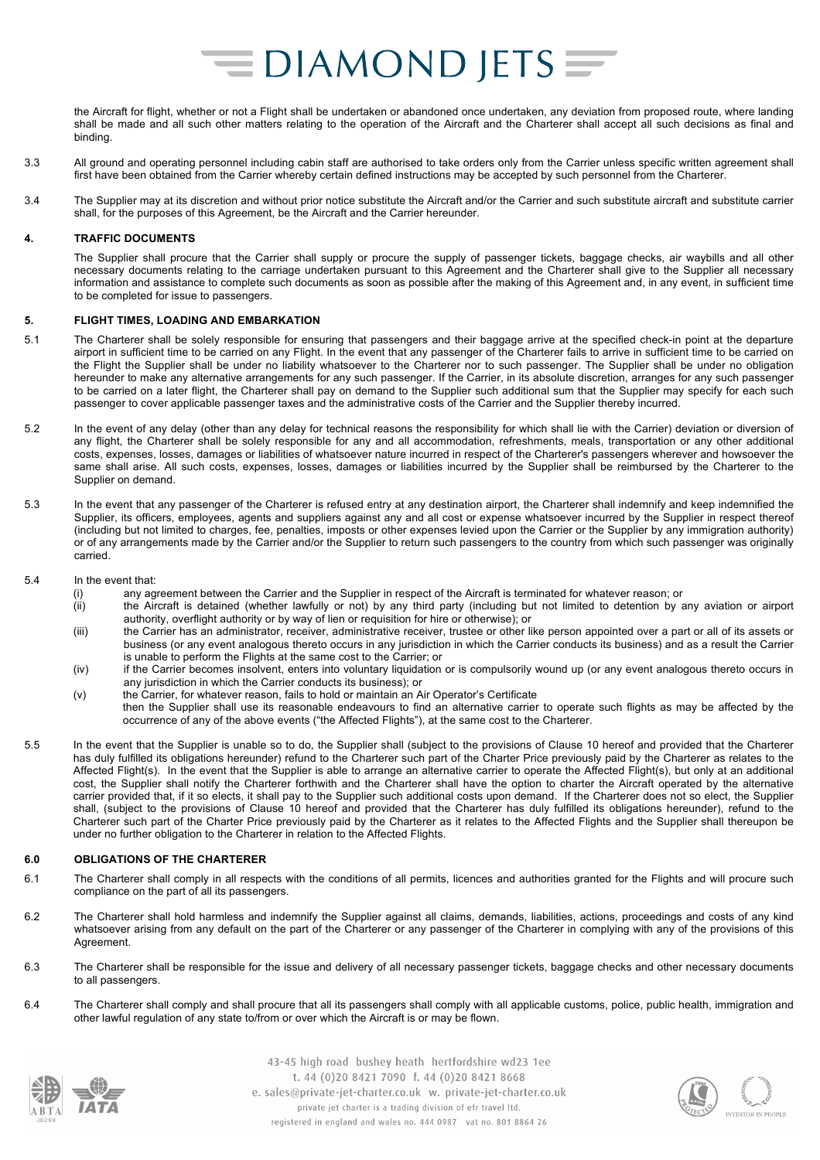the Aircraft for flight, whether or not a Flight shall be undertaken or abandoned once undertaken, any deviation from proposed route, where landing shall be made and all such other matters relating to the operation of the Aircraft and the Charterer shall accept all such decisions as final and binding.

- 3.3 All ground and operating personnel including cabin staff are authorised to take orders only from the Carrier unless specific written agreement shall first have been obtained from the Carrier whereby certain defined instructions may be accepted by such personnel from the Charterer.
- 3.4 The Supplier may at its discretion and without prior notice substitute the Aircraft and/or the Carrier and such substitute aircraft and substitute carrier shall, for the purposes of this Agreement, be the Aircraft and the Carrier hereunder.

#### **4. TRAFFIC DOCUMENTS**

The Supplier shall procure that the Carrier shall supply or procure the supply of passenger tickets, baggage checks, air waybills and all other necessary documents relating to the carriage undertaken pursuant to this Agreement and the Charterer shall give to the Supplier all necessary information and assistance to complete such documents as soon as possible after the making of this Agreement and, in any event, in sufficient time to be completed for issue to passengers.

#### **5. FLIGHT TIMES, LOADING AND EMBARKATION**

- 5.1 The Charterer shall be solely responsible for ensuring that passengers and their baggage arrive at the specified check-in point at the departure airport in sufficient time to be carried on any Flight. In the event that any passenger of the Charterer fails to arrive in sufficient time to be carried on the Flight the Supplier shall be under no liability whatsoever to the Charterer nor to such passenger. The Supplier shall be under no obligation hereunder to make any alternative arrangements for any such passenger. If the Carrier, in its absolute discretion, arranges for any such passenger to be carried on a later flight, the Charterer shall pay on demand to the Supplier such additional sum that the Supplier may specify for each such passenger to cover applicable passenger taxes and the administrative costs of the Carrier and the Supplier thereby incurred.
- 5.2 In the event of any delay (other than any delay for technical reasons the responsibility for which shall lie with the Carrier) deviation or diversion of any flight, the Charterer shall be solely responsible for any and all accommodation, refreshments, meals, transportation or any other additional costs, expenses, losses, damages or liabilities of whatsoever nature incurred in respect of the Charterer's passengers wherever and howsoever the same shall arise. All such costs, expenses, losses, damages or liabilities incurred by the Supplier shall be reimbursed by the Charterer to the Supplier on demand.
- 5.3 In the event that any passenger of the Charterer is refused entry at any destination airport, the Charterer shall indemnify and keep indemnified the Supplier, its officers, employees, agents and suppliers against any and all cost or expense whatsoever incurred by the Supplier in respect thereof (including but not limited to charges, fee, penalties, imposts or other expenses levied upon the Carrier or the Supplier by any immigration authority) or of any arrangements made by the Carrier and/or the Supplier to return such passengers to the country from which such passenger was originally carried.
- 5.4 In the event that:
	- (i) any agreement between the Carrier and the Supplier in respect of the Aircraft is terminated for whatever reason; or
		- (ii) the Aircraft is detained (whether lawfully or not) by any third party (including but not limited to detention by any aviation or airport authority, overflight authority or by way of lien or requisition for hire or otherwise); or
		- (iii) the Carrier has an administrator, receiver, administrative receiver, trustee or other like person appointed over a part or all of its assets or business (or any event analogous thereto occurs in any jurisdiction in which the Carrier conducts its business) and as a result the Carrier is unable to perform the Flights at the same cost to the Carrier; or
		- (iv) if the Carrier becomes insolvent, enters into voluntary liquidation or is compulsorily wound up (or any event analogous thereto occurs in any jurisdiction in which the Carrier conducts its business); or
	- (v) the Carrier, for whatever reason, fails to hold or maintain an Air Operator's Certificate then the Supplier shall use its reasonable endeavours to find an alternative carrier to operate such flights as may be affected by the occurrence of any of the above events ("the Affected Flights"), at the same cost to the Charterer.
- 5.5 In the event that the Supplier is unable so to do, the Supplier shall (subject to the provisions of Clause 10 hereof and provided that the Charterer has duly fulfilled its obligations hereunder) refund to the Charterer such part of the Charter Price previously paid by the Charterer as relates to the Affected Flight(s). In the event that the Supplier is able to arrange an alternative carrier to operate the Affected Flight(s), but only at an additional cost, the Supplier shall notify the Charterer forthwith and the Charterer shall have the option to charter the Aircraft operated by the alternative carrier provided that, if it so elects, it shall pay to the Supplier such additional costs upon demand. If the Charterer does not so elect, the Supplier shall, (subject to the provisions of Clause 10 hereof and provided that the Charterer has duly fulfilled its obligations hereunder), refund to the Charterer such part of the Charter Price previously paid by the Charterer as it relates to the Affected Flights and the Supplier shall thereupon be under no further obligation to the Charterer in relation to the Affected Flights.

#### **6.0 OBLIGATIONS OF THE CHARTERER**

- 6.1 The Charterer shall comply in all respects with the conditions of all permits, licences and authorities granted for the Flights and will procure such compliance on the part of all its passengers.
- 6.2 The Charterer shall hold harmless and indemnify the Supplier against all claims, demands, liabilities, actions, proceedings and costs of any kind whatsoever arising from any default on the part of the Charterer or any passenger of the Charterer in complying with any of the provisions of this Agreement.
- 6.3 The Charterer shall be responsible for the issue and delivery of all necessary passenger tickets, baggage checks and other necessary documents to all passengers.
- 6.4 The Charterer shall comply and shall procure that all its passengers shall comply with all applicable customs, police, public health, immigration and other lawful regulation of any state to/from or over which the Aircraft is or may be flown.



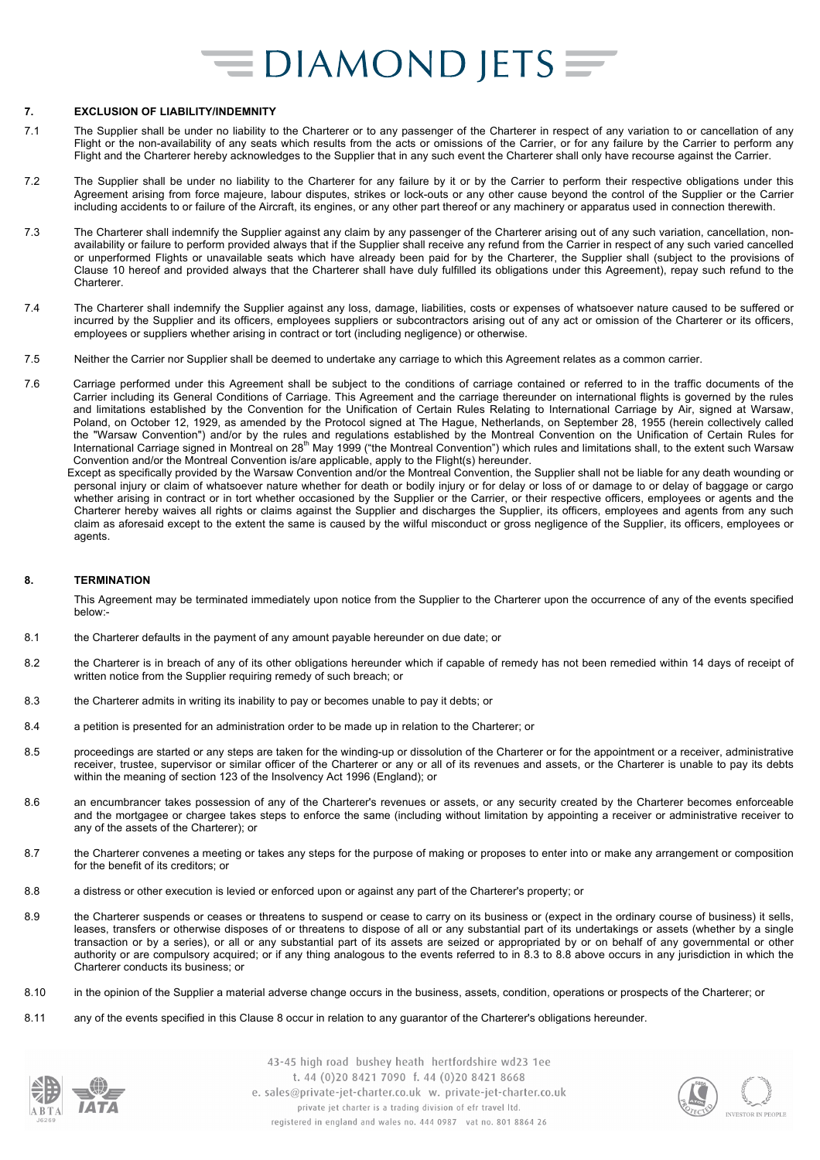#### **7. EXCLUSION OF LIABILITY/INDEMNITY**

- 7.1 The Supplier shall be under no liability to the Charterer or to any passenger of the Charterer in respect of any variation to or cancellation of any Flight or the non-availability of any seats which results from the acts or omissions of the Carrier, or for any failure by the Carrier to perform any Flight and the Charterer hereby acknowledges to the Supplier that in any such event the Charterer shall only have recourse against the Carrier.
- 7.2 The Supplier shall be under no liability to the Charterer for any failure by it or by the Carrier to perform their respective obligations under this Agreement arising from force majeure, labour disputes, strikes or lock-outs or any other cause beyond the control of the Supplier or the Carrier including accidents to or failure of the Aircraft, its engines, or any other part thereof or any machinery or apparatus used in connection therewith.
- 7.3 The Charterer shall indemnify the Supplier against any claim by any passenger of the Charterer arising out of any such variation, cancellation, nonavailability or failure to perform provided always that if the Supplier shall receive any refund from the Carrier in respect of any such varied cancelled or unperformed Flights or unavailable seats which have already been paid for by the Charterer, the Supplier shall (subject to the provisions of Clause 10 hereof and provided always that the Charterer shall have duly fulfilled its obligations under this Agreement), repay such refund to the **Charterer**
- 7.4 The Charterer shall indemnify the Supplier against any loss, damage, liabilities, costs or expenses of whatsoever nature caused to be suffered or incurred by the Supplier and its officers, employees suppliers or subcontractors arising out of any act or omission of the Charterer or its officers, employees or suppliers whether arising in contract or tort (including negligence) or otherwise.
- 7.5 Neither the Carrier nor Supplier shall be deemed to undertake any carriage to which this Agreement relates as a common carrier.
- 7.6 Carriage performed under this Agreement shall be subject to the conditions of carriage contained or referred to in the traffic documents of the Carrier including its General Conditions of Carriage. This Agreement and the carriage thereunder on international flights is governed by the rules and limitations established by the Convention for the Unification of Certain Rules Relating to International Carriage by Air, signed at Warsaw, Poland, on October 12, 1929, as amended by the Protocol signed at The Hague, Netherlands, on September 28, 1955 (herein collectively called the "Warsaw Convention") and/or by the rules and regulations established by the Montreal Convention on the Unification of Certain Rules for<br>International Carriage signed in Montreal on 28<sup>th</sup> May 1999 ("the Montreal Conven Convention and/or the Montreal Convention is/are applicable, apply to the Flight(s) hereunder.
	- Except as specifically provided by the Warsaw Convention and/or the Montreal Convention, the Supplier shall not be liable for any death wounding or personal injury or claim of whatsoever nature whether for death or bodily injury or for delay or loss of or damage to or delay of baggage or cargo whether arising in contract or in tort whether occasioned by the Supplier or the Carrier, or their respective officers, employees or agents and the Charterer hereby waives all rights or claims against the Supplier and discharges the Supplier, its officers, employees and agents from any such claim as aforesaid except to the extent the same is caused by the wilful misconduct or gross negligence of the Supplier, its officers, employees or agents.

#### **8. TERMINATION**

This Agreement may be terminated immediately upon notice from the Supplier to the Charterer upon the occurrence of any of the events specified below:-

- 8.1 the Charterer defaults in the payment of any amount payable hereunder on due date; or
- 8.2 the Charterer is in breach of any of its other obligations hereunder which if capable of remedy has not been remedied within 14 days of receipt of written notice from the Supplier requiring remedy of such breach; or
- 8.3 the Charterer admits in writing its inability to pay or becomes unable to pay it debts; or
- 8.4 a petition is presented for an administration order to be made up in relation to the Charterer; or
- 8.5 proceedings are started or any steps are taken for the winding-up or dissolution of the Charterer or for the appointment or a receiver, administrative receiver, trustee, supervisor or similar officer of the Charterer or any or all of its revenues and assets, or the Charterer is unable to pay its debts within the meaning of section 123 of the Insolvency Act 1996 (England); or
- 8.6 an encumbrancer takes possession of any of the Charterer's revenues or assets, or any security created by the Charterer becomes enforceable and the mortgagee or chargee takes steps to enforce the same (including without limitation by appointing a receiver or administrative receiver to any of the assets of the Charterer); or
- 8.7 the Charterer convenes a meeting or takes any steps for the purpose of making or proposes to enter into or make any arrangement or composition for the benefit of its creditors; or
- 8.8 a distress or other execution is levied or enforced upon or against any part of the Charterer's property; or
- 8.9 the Charterer suspends or ceases or threatens to suspend or cease to carry on its business or (expect in the ordinary course of business) it sells, leases, transfers or otherwise disposes of or threatens to dispose of all or any substantial part of its undertakings or assets (whether by a single transaction or by a series), or all or any substantial part of its assets are seized or appropriated by or on behalf of any governmental or other authority or are compulsory acquired; or if any thing analogous to the events referred to in 8.3 to 8.8 above occurs in any jurisdiction in which the Charterer conducts its business; or
- 8.10 in the opinion of the Supplier a material adverse change occurs in the business, assets, condition, operations or prospects of the Charterer; or
- 8.11 any of the events specified in this Clause 8 occur in relation to any guarantor of the Charterer's obligations hereunder.



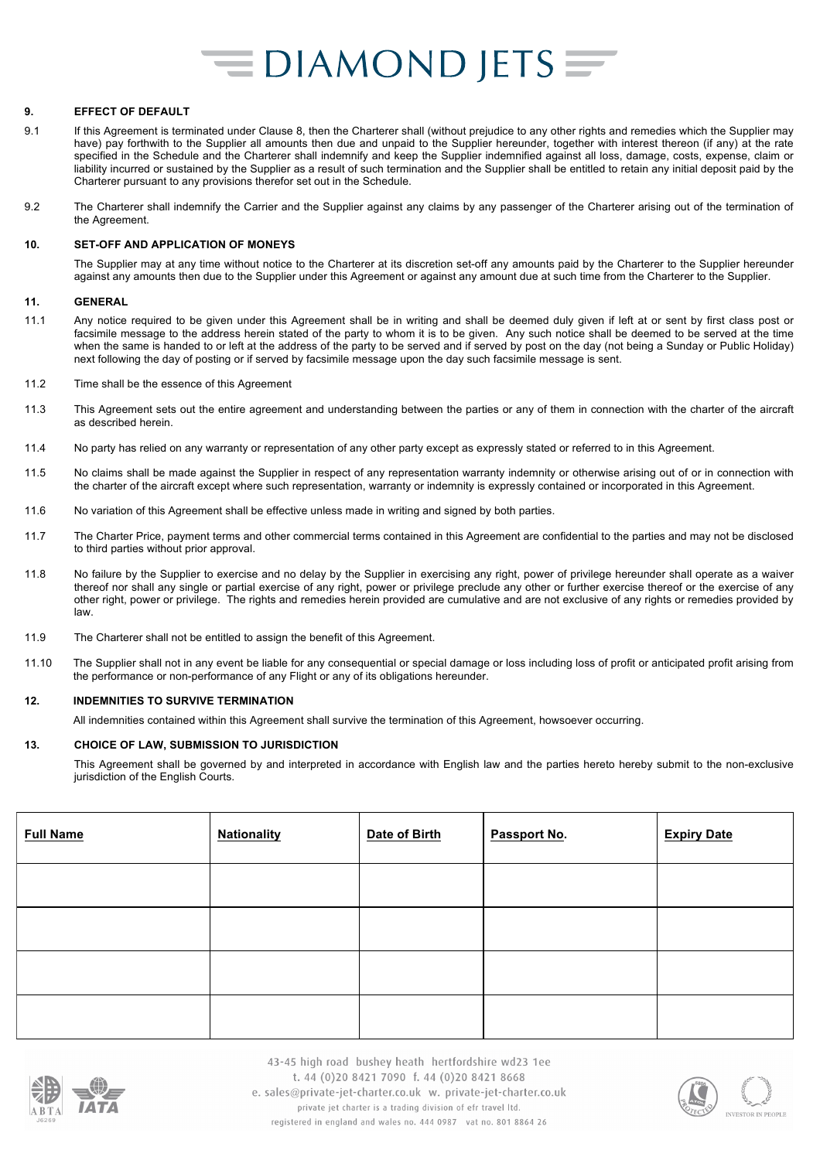#### **9. EFFECT OF DEFAULT**

- 9.1 If this Agreement is terminated under Clause 8, then the Charterer shall (without prejudice to any other rights and remedies which the Supplier may have) pay forthwith to the Supplier all amounts then due and unpaid to the Supplier hereunder, together with interest thereon (if any) at the rate specified in the Schedule and the Charterer shall indemnify and keep the Supplier indemnified against all loss, damage, costs, expense, claim or liability incurred or sustained by the Supplier as a result of such termination and the Supplier shall be entitled to retain any initial deposit paid by the Charterer pursuant to any provisions therefor set out in the Schedule.
- 9.2 The Charterer shall indemnify the Carrier and the Supplier against any claims by any passenger of the Charterer arising out of the termination of the Agreement.

#### **10. SET-OFF AND APPLICATION OF MONEYS**

The Supplier may at any time without notice to the Charterer at its discretion set-off any amounts paid by the Charterer to the Supplier hereunder against any amounts then due to the Supplier under this Agreement or against any amount due at such time from the Charterer to the Supplier.

#### **11. GENERAL**

- 11.1 Any notice required to be given under this Agreement shall be in writing and shall be deemed duly given if left at or sent by first class post or facsimile message to the address herein stated of the party to whom it is to be given. Any such notice shall be deemed to be served at the time when the same is handed to or left at the address of the party to be served and if served by post on the day (not being a Sunday or Public Holiday) next following the day of posting or if served by facsimile message upon the day such facsimile message is sent.
- 11.2 Time shall be the essence of this Agreement
- 11.3 This Agreement sets out the entire agreement and understanding between the parties or any of them in connection with the charter of the aircraft as described herein.
- 11.4 No party has relied on any warranty or representation of any other party except as expressly stated or referred to in this Agreement.
- 11.5 No claims shall be made against the Supplier in respect of any representation warranty indemnity or otherwise arising out of or in connection with the charter of the aircraft except where such representation, warranty or indemnity is expressly contained or incorporated in this Agreement.
- 11.6 No variation of this Agreement shall be effective unless made in writing and signed by both parties.
- 11.7 The Charter Price, payment terms and other commercial terms contained in this Agreement are confidential to the parties and may not be disclosed to third parties without prior approval.
- 11.8 No failure by the Supplier to exercise and no delay by the Supplier in exercising any right, power of privilege hereunder shall operate as a waiver thereof nor shall any single or partial exercise of any right, power or privilege preclude any other or further exercise thereof or the exercise of any other right, power or privilege. The rights and remedies herein provided are cumulative and are not exclusive of any rights or remedies provided by law.
- 11.9 The Charterer shall not be entitled to assign the benefit of this Agreement.
- 11.10 The Supplier shall not in any event be liable for any consequential or special damage or loss including loss of profit or anticipated profit arising from the performance or non-performance of any Flight or any of its obligations hereunder.

#### **12. INDEMNITIES TO SURVIVE TERMINATION**

All indemnities contained within this Agreement shall survive the termination of this Agreement, howsoever occurring.

#### **13. CHOICE OF LAW, SUBMISSION TO JURISDICTION**

This Agreement shall be governed by and interpreted in accordance with English law and the parties hereto hereby submit to the non-exclusive jurisdiction of the English Courts.

| <b>Full Name</b> | <b>Nationality</b> | Date of Birth | Passport No. | <b>Expiry Date</b> |
|------------------|--------------------|---------------|--------------|--------------------|
|                  |                    |               |              |                    |
|                  |                    |               |              |                    |
|                  |                    |               |              |                    |
|                  |                    |               |              |                    |